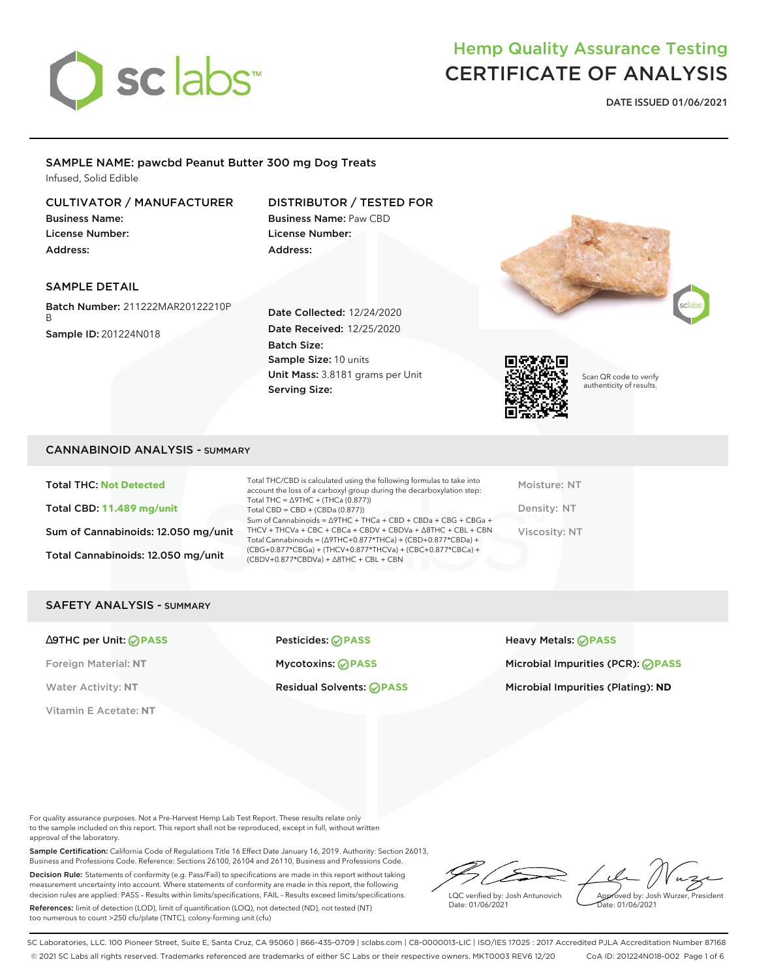

## Hemp Quality Assurance Testing CERTIFICATE OF ANALYSIS

**DATE ISSUED 01/06/2021**

### SAMPLE NAME: pawcbd Peanut Butter 300 mg Dog Treats Infused, Solid Edible

### CULTIVATOR / MANUFACTURER

Business Name: License Number: Address:

### DISTRIBUTOR / TESTED FOR

Business Name: Paw CBD License Number: Address:

### SAMPLE DETAIL

Batch Number: 211222MAR20122210P B Sample ID: 201224N018

Date Collected: 12/24/2020 Date Received: 12/25/2020 Batch Size: Sample Size: 10 units Unit Mass: 3.8181 grams per Unit Serving Size:





Scan QR code to verify authenticity of results.

### CANNABINOID ANALYSIS - SUMMARY

Total THC: **Not Detected** Total CBD: **11.489 mg/unit** Sum of Cannabinoids: 12.050 mg/unit Total Cannabinoids: 12.050 mg/unit

Total THC/CBD is calculated using the following formulas to take into account the loss of a carboxyl group during the decarboxylation step: Total THC = ∆9THC + (THCa (0.877)) Total CBD = CBD + (CBDa (0.877)) Sum of Cannabinoids = ∆9THC + THCa + CBD + CBDa + CBG + CBGa + THCV + THCVa + CBC + CBCa + CBDV + CBDVa + ∆8THC + CBL + CBN Total Cannabinoids = (∆9THC+0.877\*THCa) + (CBD+0.877\*CBDa) + (CBG+0.877\*CBGa) + (THCV+0.877\*THCVa) + (CBC+0.877\*CBCa) + (CBDV+0.877\*CBDVa) + ∆8THC + CBL + CBN

Moisture: NT Density: NT Viscosity: NT

### SAFETY ANALYSIS - SUMMARY

Vitamin E Acetate: **NT**

∆9THC per Unit: **PASS** Pesticides: **PASS** Heavy Metals: **PASS**

Foreign Material: **NT** Mycotoxins: **PASS** Microbial Impurities (PCR): **PASS** Water Activity: NT **Residual Solvents: PASS Microbial Impurities (Plating): ND** Microbial Impurities (Plating): ND

For quality assurance purposes. Not a Pre-Harvest Hemp Lab Test Report. These results relate only to the sample included on this report. This report shall not be reproduced, except in full, without written approval of the laboratory.

Sample Certification: California Code of Regulations Title 16 Effect Date January 16, 2019. Authority: Section 26013, Business and Professions Code. Reference: Sections 26100, 26104 and 26110, Business and Professions Code.

Decision Rule: Statements of conformity (e.g. Pass/Fail) to specifications are made in this report without taking measurement uncertainty into account. Where statements of conformity are made in this report, the following decision rules are applied: PASS – Results within limits/specifications, FAIL – Results exceed limits/specifications.

References: limit of detection (LOD), limit of quantification (LOQ), not detected (ND), not tested (NT) too numerous to count >250 cfu/plate (TNTC), colony-forming unit (cfu)

LQC verified by: Josh Antunovich Date: 01/06/2021

Approved by: Josh Wurzer, President ate: 01/06/2021

SC Laboratories, LLC. 100 Pioneer Street, Suite E, Santa Cruz, CA 95060 | 866-435-0709 | sclabs.com | C8-0000013-LIC | ISO/IES 17025 : 2017 Accredited PJLA Accreditation Number 87168 © 2021 SC Labs all rights reserved. Trademarks referenced are trademarks of either SC Labs or their respective owners. MKT0003 REV6 12/20 CoA ID: 201224N018-002 Page 1 of 6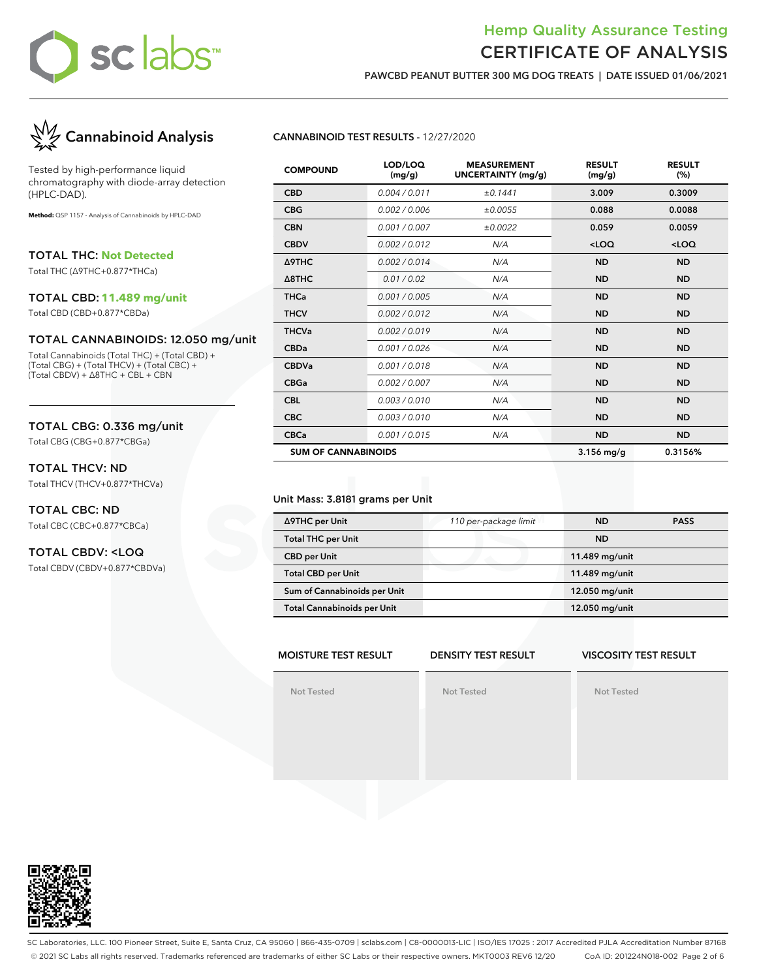

### Hemp Quality Assurance Testing CERTIFICATE OF ANALYSIS

**PAWCBD PEANUT BUTTER 300 MG DOG TREATS | DATE ISSUED 01/06/2021**



Tested by high-performance liquid chromatography with diode-array detection (HPLC-DAD).

**Method:** QSP 1157 - Analysis of Cannabinoids by HPLC-DAD

TOTAL THC: **Not Detected**

Total THC (∆9THC+0.877\*THCa)

#### TOTAL CBD: **11.489 mg/unit**

Total CBD (CBD+0.877\*CBDa)

### TOTAL CANNABINOIDS: 12.050 mg/unit

Total Cannabinoids (Total THC) + (Total CBD) + (Total CBG) + (Total THCV) + (Total CBC) + (Total CBDV) + ∆8THC + CBL + CBN

### TOTAL CBG: 0.336 mg/unit

Total CBG (CBG+0.877\*CBGa)

### TOTAL THCV: ND

Total THCV (THCV+0.877\*THCVa)

### TOTAL CBC: ND Total CBC (CBC+0.877\*CBCa)

### TOTAL CBDV: <LOQ

Total CBDV (CBDV+0.877\*CBDVa)

### **CANNABINOID TEST RESULTS -** 12/27/2020

| <b>COMPOUND</b>            | LOD/LOQ<br>(mg/g) | <b>MEASUREMENT</b><br>UNCERTAINTY (mg/g) | <b>RESULT</b><br>(mg/g) | <b>RESULT</b><br>(%) |
|----------------------------|-------------------|------------------------------------------|-------------------------|----------------------|
| <b>CBD</b>                 | 0.004 / 0.011     | ±0.1441                                  | 3.009                   | 0.3009               |
| <b>CBG</b>                 | 0.002 / 0.006     | ±0.0055                                  | 0.088                   | 0.0088               |
| <b>CBN</b>                 | 0.001/0.007       | ±0.0022                                  | 0.059                   | 0.0059               |
| <b>CBDV</b>                | 0.002/0.012       | N/A                                      | $<$ LOQ                 | $<$ LOQ              |
| Δ9THC                      | 0.002/0.014       | N/A                                      | <b>ND</b>               | <b>ND</b>            |
| $\triangle$ 8THC           | 0.01 / 0.02       | N/A                                      | <b>ND</b>               | <b>ND</b>            |
| <b>THCa</b>                | 0.001 / 0.005     | N/A                                      | <b>ND</b>               | <b>ND</b>            |
| <b>THCV</b>                | 0.002 / 0.012     | N/A                                      | <b>ND</b>               | <b>ND</b>            |
| <b>THCVa</b>               | 0.002 / 0.019     | N/A                                      | <b>ND</b>               | <b>ND</b>            |
| <b>CBDa</b>                | 0.001/0.026       | N/A                                      | <b>ND</b>               | <b>ND</b>            |
| <b>CBDVa</b>               | 0.001 / 0.018     | N/A                                      | <b>ND</b>               | <b>ND</b>            |
| <b>CBGa</b>                | 0.002 / 0.007     | N/A                                      | <b>ND</b>               | <b>ND</b>            |
| <b>CBL</b>                 | 0.003/0.010       | N/A                                      | <b>ND</b>               | <b>ND</b>            |
| <b>CBC</b>                 | 0.003/0.010       | N/A                                      | <b>ND</b>               | <b>ND</b>            |
| <b>CBCa</b>                | 0.001/0.015       | N/A                                      | <b>ND</b>               | <b>ND</b>            |
| <b>SUM OF CANNABINOIDS</b> |                   |                                          | $3.156$ mg/g            | 0.3156%              |

### Unit Mass: 3.8181 grams per Unit

| ∆9THC per Unit                     | 110 per-package limit | <b>ND</b>      | <b>PASS</b> |
|------------------------------------|-----------------------|----------------|-------------|
| <b>Total THC per Unit</b>          |                       | <b>ND</b>      |             |
| <b>CBD</b> per Unit                |                       | 11.489 mg/unit |             |
| <b>Total CBD per Unit</b>          |                       | 11.489 mg/unit |             |
| Sum of Cannabinoids per Unit       |                       | 12.050 mg/unit |             |
| <b>Total Cannabinoids per Unit</b> |                       | 12.050 mg/unit |             |

#### **MOISTURE TEST RESULT DENSITY TEST RESULT**

#### **VISCOSITY TEST RESULT**

**Not Tested**

**Not Tested**





SC Laboratories, LLC. 100 Pioneer Street, Suite E, Santa Cruz, CA 95060 | 866-435-0709 | sclabs.com | C8-0000013-LIC | ISO/IES 17025 : 2017 Accredited PJLA Accreditation Number 87168 © 2021 SC Labs all rights reserved. Trademarks referenced are trademarks of either SC Labs or their respective owners. MKT0003 REV6 12/20 CoA ID: 201224N018-002 Page 2 of 6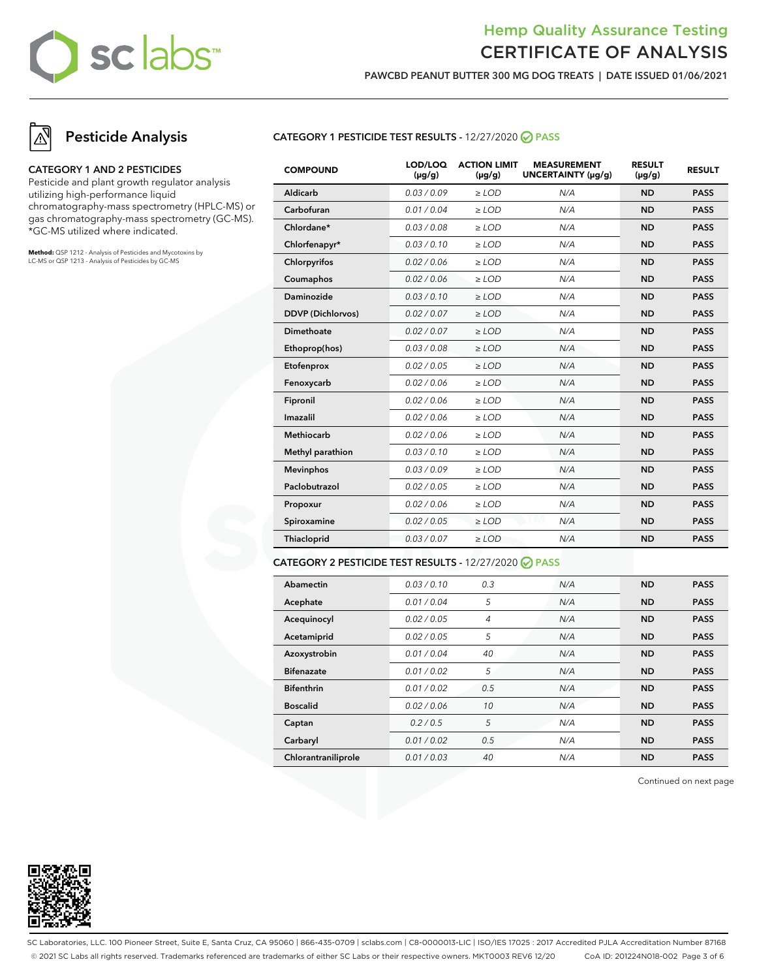### Hemp Quality Assurance Testing CERTIFICATE OF ANALYSIS

**PAWCBD PEANUT BUTTER 300 MG DOG TREATS | DATE ISSUED 01/06/2021**

## **Pesticide Analysis**

### **CATEGORY 1 AND 2 PESTICIDES**

Pesticide and plant growth regulator analysis utilizing high-performance liquid chromatography-mass spectrometry (HPLC-MS) or gas chromatography-mass spectrometry (GC-MS). \*GC-MS utilized where indicated.

**Method:** QSP 1212 - Analysis of Pesticides and Mycotoxins by LC-MS or QSP 1213 - Analysis of Pesticides by GC-MS

### **CATEGORY 1 PESTICIDE TEST RESULTS -** 12/27/2020 **PASS**

| <b>COMPOUND</b>          | LOD/LOQ<br>$(\mu g/g)$ | <b>ACTION LIMIT</b><br>$(\mu g/g)$ | <b>MEASUREMENT</b><br>UNCERTAINTY (µg/g) | <b>RESULT</b><br>$(\mu g/g)$ | <b>RESULT</b> |
|--------------------------|------------------------|------------------------------------|------------------------------------------|------------------------------|---------------|
| Aldicarb                 | 0.03/0.09              | $>$ LOD                            | N/A                                      | <b>ND</b>                    | <b>PASS</b>   |
| Carbofuran               | 0.01 / 0.04            | $\ge$ LOD                          | N/A                                      | <b>ND</b>                    | <b>PASS</b>   |
| Chlordane*               | 0.03/0.08              | $>$ LOD                            | N/A                                      | <b>ND</b>                    | <b>PASS</b>   |
| Chlorfenapyr*            | 0.03/0.10              | $>$ LOD                            | N/A                                      | <b>ND</b>                    | <b>PASS</b>   |
| Chlorpyrifos             | 0.02 / 0.06            | $\ge$ LOD                          | N/A                                      | <b>ND</b>                    | <b>PASS</b>   |
| Coumaphos                | 0.02 / 0.06            | $\ge$ LOD                          | N/A                                      | <b>ND</b>                    | <b>PASS</b>   |
| <b>Daminozide</b>        | 0.03/0.10              | $\ge$ LOD                          | N/A                                      | <b>ND</b>                    | <b>PASS</b>   |
| <b>DDVP</b> (Dichlorvos) | 0.02 / 0.07            | $\ge$ LOD                          | N/A                                      | <b>ND</b>                    | <b>PASS</b>   |
| <b>Dimethoate</b>        | 0.02 / 0.07            | $\ge$ LOD                          | N/A                                      | <b>ND</b>                    | <b>PASS</b>   |
| Ethoprop(hos)            | 0.03/0.08              | $\ge$ LOD                          | N/A                                      | <b>ND</b>                    | <b>PASS</b>   |
| Etofenprox               | 0.02 / 0.05            | $\ge$ LOD                          | N/A                                      | <b>ND</b>                    | <b>PASS</b>   |
| Fenoxycarb               | 0.02 / 0.06            | $\ge$ LOD                          | N/A                                      | <b>ND</b>                    | <b>PASS</b>   |
| Fipronil                 | 0.02 / 0.06            | $\ge$ LOD                          | N/A                                      | <b>ND</b>                    | <b>PASS</b>   |
| Imazalil                 | 0.02 / 0.06            | $\ge$ LOD                          | N/A                                      | <b>ND</b>                    | <b>PASS</b>   |
| Methiocarb               | 0.02 / 0.06            | $\ge$ LOD                          | N/A                                      | <b>ND</b>                    | <b>PASS</b>   |
| Methyl parathion         | 0.03/0.10              | $\ge$ LOD                          | N/A                                      | <b>ND</b>                    | <b>PASS</b>   |
| <b>Mevinphos</b>         | 0.03/0.09              | $\ge$ LOD                          | N/A                                      | <b>ND</b>                    | <b>PASS</b>   |
| Paclobutrazol            | 0.02 / 0.05            | $\ge$ LOD                          | N/A                                      | <b>ND</b>                    | <b>PASS</b>   |
| Propoxur                 | 0.02 / 0.06            | $\ge$ LOD                          | N/A                                      | <b>ND</b>                    | <b>PASS</b>   |
| Spiroxamine              | 0.02 / 0.05            | $\ge$ LOD                          | N/A                                      | <b>ND</b>                    | <b>PASS</b>   |
| Thiacloprid              | 0.03 / 0.07            | $\ge$ LOD                          | N/A                                      | <b>ND</b>                    | <b>PASS</b>   |
|                          |                        |                                    |                                          |                              |               |

### **CATEGORY 2 PESTICIDE TEST RESULTS -** 12/27/2020 **PASS**

| Abamectin           | 0.03 / 0.10 | 0.3 | N/A | <b>ND</b> | <b>PASS</b> |
|---------------------|-------------|-----|-----|-----------|-------------|
| Acephate            | 0.01/0.04   | 5   | N/A | <b>ND</b> | <b>PASS</b> |
| Acequinocyl         | 0.02 / 0.05 | 4   | N/A | <b>ND</b> | <b>PASS</b> |
| Acetamiprid         | 0.02 / 0.05 | 5   | N/A | <b>ND</b> | <b>PASS</b> |
| Azoxystrobin        | 0.01 / 0.04 | 40  | N/A | <b>ND</b> | <b>PASS</b> |
| <b>Bifenazate</b>   | 0.01 / 0.02 | 5   | N/A | <b>ND</b> | <b>PASS</b> |
| <b>Bifenthrin</b>   | 0.01 / 0.02 | 0.5 | N/A | <b>ND</b> | <b>PASS</b> |
| <b>Boscalid</b>     | 0.02 / 0.06 | 10  | N/A | <b>ND</b> | <b>PASS</b> |
| Captan              | 0.2/0.5     | 5   | N/A | <b>ND</b> | <b>PASS</b> |
| Carbaryl            | 0.01/0.02   | 0.5 | N/A | <b>ND</b> | <b>PASS</b> |
| Chlorantraniliprole | 0.01/0.03   | 40  | N/A | <b>ND</b> | <b>PASS</b> |

Continued on next page



SC Laboratories, LLC. 100 Pioneer Street, Suite E, Santa Cruz, CA 95060 | 866-435-0709 | sclabs.com | C8-0000013-LIC | ISO/IES 17025 : 2017 Accredited PJLA Accreditation Number 87168 © 2021 SC Labs all rights reserved. Trademarks referenced are trademarks of either SC Labs or their respective owners. MKT0003 REV6 12/20 CoA ID: 201224N018-002 Page 3 of 6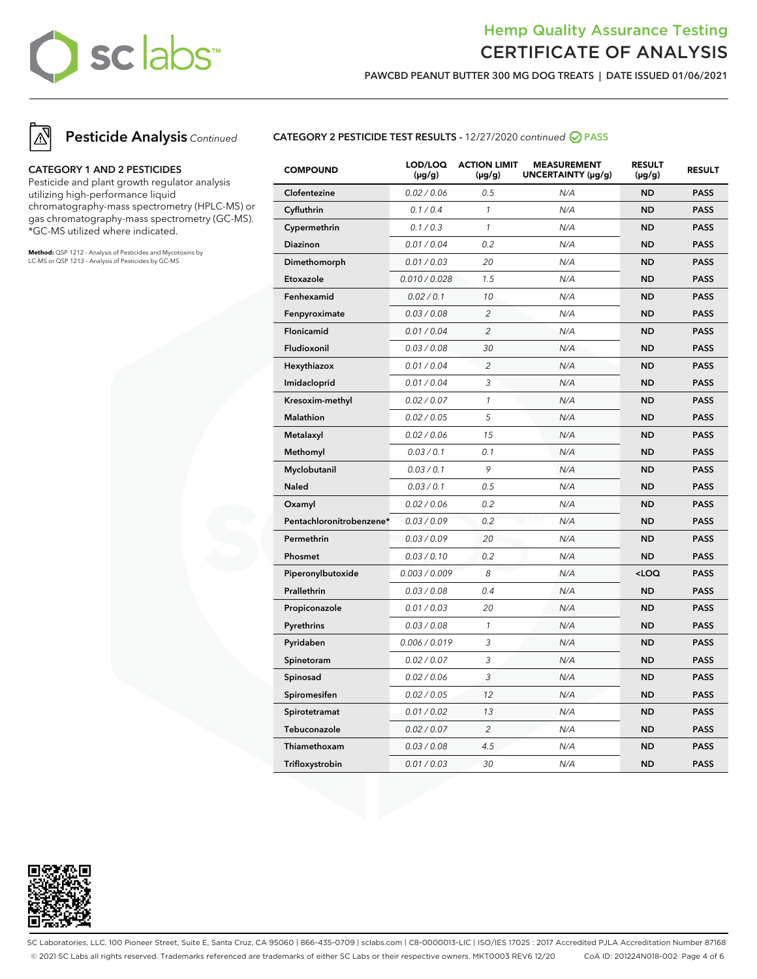### Hemp Quality Assurance Testing CERTIFICATE OF ANALYSIS

**PAWCBD PEANUT BUTTER 300 MG DOG TREATS | DATE ISSUED 01/06/2021**



## **Pesticide Analysis** Continued

### **CATEGORY 1 AND 2 PESTICIDES**

Pesticide and plant growth regulator analysis utilizing high-performance liquid chromatography-mass spectrometry (HPLC-MS) or gas chromatography-mass spectrometry (GC-MS). \*GC-MS utilized where indicated.

**Method:** QSP 1212 - Analysis of Pesticides and Mycotoxins by LC-MS or QSP 1213 - Analysis of Pesticides by GC-MS

### **CATEGORY 2 PESTICIDE TEST RESULTS -** 12/27/2020 continued **PASS**

| <b>COMPOUND</b>          | LOD/LOQ<br>$(\mu g/g)$ | <b>ACTION LIMIT</b><br>$(\mu g/g)$ | <b>MEASUREMENT</b><br>UNCERTAINTY (µg/g) | <b>RESULT</b><br>$(\mu g/g)$ | <b>RESULT</b> |
|--------------------------|------------------------|------------------------------------|------------------------------------------|------------------------------|---------------|
| Clofentezine             | 0.02 / 0.06            | 0.5                                | N/A                                      | <b>ND</b>                    | <b>PASS</b>   |
| Cyfluthrin               | 0.1 / 0.4              | $\mathcal{I}$                      | N/A                                      | <b>ND</b>                    | <b>PASS</b>   |
| Cypermethrin             | 0.1 / 0.3              | $\mathcal{I}$                      | N/A                                      | <b>ND</b>                    | <b>PASS</b>   |
| Diazinon                 | 0.01 / 0.04            | 0.2                                | N/A                                      | <b>ND</b>                    | <b>PASS</b>   |
| Dimethomorph             | 0.01 / 0.03            | 20                                 | N/A                                      | <b>ND</b>                    | <b>PASS</b>   |
| Etoxazole                | 0.010 / 0.028          | 1.5                                | N/A                                      | <b>ND</b>                    | <b>PASS</b>   |
| Fenhexamid               | 0.02 / 0.1             | 10                                 | N/A                                      | <b>ND</b>                    | <b>PASS</b>   |
| Fenpyroximate            | 0.03 / 0.08            | $\overline{c}$                     | N/A                                      | <b>ND</b>                    | <b>PASS</b>   |
| Flonicamid               | 0.01 / 0.04            | $\overline{2}$                     | N/A                                      | <b>ND</b>                    | <b>PASS</b>   |
| Fludioxonil              | 0.03 / 0.08            | 30                                 | N/A                                      | <b>ND</b>                    | <b>PASS</b>   |
| Hexythiazox              | 0.01 / 0.04            | $\overline{c}$                     | N/A                                      | <b>ND</b>                    | <b>PASS</b>   |
| Imidacloprid             | 0.01 / 0.04            | 3                                  | N/A                                      | ND                           | <b>PASS</b>   |
| Kresoxim-methyl          | 0.02 / 0.07            | $\mathcal{I}$                      | N/A                                      | <b>ND</b>                    | <b>PASS</b>   |
| Malathion                | 0.02 / 0.05            | 5                                  | N/A                                      | <b>ND</b>                    | <b>PASS</b>   |
| Metalaxyl                | 0.02 / 0.06            | 15                                 | N/A                                      | <b>ND</b>                    | <b>PASS</b>   |
| Methomyl                 | 0.03 / 0.1             | 0.1                                | N/A                                      | <b>ND</b>                    | <b>PASS</b>   |
| Myclobutanil             | 0.03 / 0.1             | 9                                  | N/A                                      | <b>ND</b>                    | <b>PASS</b>   |
| <b>Naled</b>             | 0.03 / 0.1             | 0.5                                | N/A                                      | <b>ND</b>                    | <b>PASS</b>   |
| Oxamyl                   | 0.02 / 0.06            | 0.2                                | N/A                                      | <b>ND</b>                    | <b>PASS</b>   |
| Pentachloronitrobenzene* | 0.03 / 0.09            | 0.2                                | N/A                                      | <b>ND</b>                    | <b>PASS</b>   |
| Permethrin               | 0.03 / 0.09            | 20                                 | N/A                                      | ND                           | <b>PASS</b>   |
| Phosmet                  | 0.03 / 0.10            | 0.2                                | N/A                                      | <b>ND</b>                    | <b>PASS</b>   |
| Piperonylbutoxide        | 0.003 / 0.009          | 8                                  | N/A                                      | $<$ LOQ                      | <b>PASS</b>   |
| Prallethrin              | 0.03 / 0.08            | 0.4                                | N/A                                      | <b>ND</b>                    | <b>PASS</b>   |
| Propiconazole            | 0.01 / 0.03            | 20                                 | N/A                                      | <b>ND</b>                    | <b>PASS</b>   |
| Pyrethrins               | 0.03 / 0.08            | $\mathcal{I}$                      | N/A                                      | <b>ND</b>                    | <b>PASS</b>   |
| Pyridaben                | 0.006 / 0.019          | 3                                  | N/A                                      | ND                           | <b>PASS</b>   |
| Spinetoram               | 0.02 / 0.07            | 3                                  | N/A                                      | <b>ND</b>                    | <b>PASS</b>   |
| Spinosad                 | 0.02 / 0.06            | 3                                  | N/A                                      | <b>ND</b>                    | <b>PASS</b>   |
| Spiromesifen             | 0.02 / 0.05            | 12                                 | N/A                                      | <b>ND</b>                    | <b>PASS</b>   |
| Spirotetramat            | 0.01 / 0.02            | 13                                 | N/A                                      | ND                           | <b>PASS</b>   |
| Tebuconazole             | 0.02 / 0.07            | $\overline{c}$                     | N/A                                      | <b>ND</b>                    | <b>PASS</b>   |
| Thiamethoxam             | 0.03 / 0.08            | 4.5                                | N/A                                      | ND                           | <b>PASS</b>   |
| Trifloxystrobin          | 0.01 / 0.03            | 30                                 | N/A                                      | <b>ND</b>                    | <b>PASS</b>   |



SC Laboratories, LLC. 100 Pioneer Street, Suite E, Santa Cruz, CA 95060 | 866-435-0709 | sclabs.com | C8-0000013-LIC | ISO/IES 17025 : 2017 Accredited PJLA Accreditation Number 87168 © 2021 SC Labs all rights reserved. Trademarks referenced are trademarks of either SC Labs or their respective owners. MKT0003 REV6 12/20 CoA ID: 201224N018-002 Page 4 of 6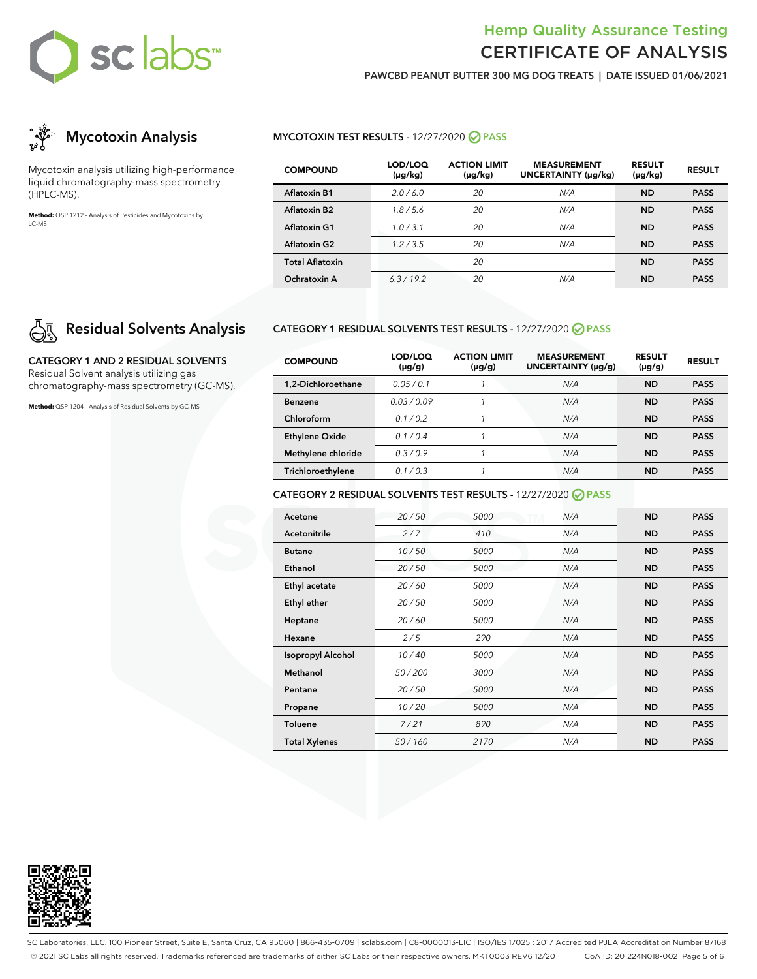## Hemp Quality Assurance Testing CERTIFICATE OF ANALYSIS

**PAWCBD PEANUT BUTTER 300 MG DOG TREATS | DATE ISSUED 01/06/2021**



Mycotoxin analysis utilizing high-performance liquid chromatography-mass spectrometry (HPLC-MS).

**Method:** QSP 1212 - Analysis of Pesticides and Mycotoxins by LC-MS

## **Residual Solvents Analysis**

**CATEGORY 1 AND 2 RESIDUAL SOLVENTS** Residual Solvent analysis utilizing gas chromatography-mass spectrometry (GC-MS).

**Method:** QSP 1204 - Analysis of Residual Solvents by GC-MS

### **MYCOTOXIN TEST RESULTS -** 12/27/2020 **PASS**

| <b>COMPOUND</b>        | LOD/LOQ<br>$(\mu g/kg)$ | <b>ACTION LIMIT</b><br>$(\mu g/kg)$ | <b>MEASUREMENT</b><br><b>UNCERTAINTY (µg/kg)</b> | <b>RESULT</b><br>$(\mu g/kg)$ | <b>RESULT</b> |
|------------------------|-------------------------|-------------------------------------|--------------------------------------------------|-------------------------------|---------------|
| <b>Aflatoxin B1</b>    | 2.0/6.0                 | 20                                  | N/A                                              | <b>ND</b>                     | <b>PASS</b>   |
| Aflatoxin B2           | 1.8/5.6                 | 20                                  | N/A                                              | <b>ND</b>                     | <b>PASS</b>   |
| Aflatoxin G1           | 1.0/3.1                 | 20                                  | N/A                                              | <b>ND</b>                     | <b>PASS</b>   |
| <b>Aflatoxin G2</b>    | 1.2/3.5                 | 20                                  | N/A                                              | <b>ND</b>                     | <b>PASS</b>   |
| <b>Total Aflatoxin</b> |                         | 20                                  |                                                  | <b>ND</b>                     | <b>PASS</b>   |
| Ochratoxin A           | 6.3/19.2                | 20                                  | N/A                                              | <b>ND</b>                     | <b>PASS</b>   |

### **CATEGORY 1 RESIDUAL SOLVENTS TEST RESULTS -** 12/27/2020 **PASS**

| <b>COMPOUND</b>       | LOD/LOQ<br>$(\mu g/g)$ | <b>ACTION LIMIT</b><br>$(\mu g/g)$ | <b>MEASUREMENT</b><br>UNCERTAINTY (µg/g) | <b>RESULT</b><br>$(\mu g/g)$ | <b>RESULT</b> |
|-----------------------|------------------------|------------------------------------|------------------------------------------|------------------------------|---------------|
| 1.2-Dichloroethane    | 0.05/0.1               |                                    | N/A                                      | <b>ND</b>                    | <b>PASS</b>   |
| <b>Benzene</b>        | 0.03/0.09              |                                    | N/A                                      | <b>ND</b>                    | <b>PASS</b>   |
| Chloroform            | 01/02                  |                                    | N/A                                      | <b>ND</b>                    | <b>PASS</b>   |
| <b>Ethylene Oxide</b> | 0.1/0.4                |                                    | N/A                                      | <b>ND</b>                    | <b>PASS</b>   |
| Methylene chloride    | 0.3/0.9                |                                    | N/A                                      | ND                           | <b>PASS</b>   |
| Trichloroethylene     | 0.1/0.3                |                                    | N/A                                      | <b>ND</b>                    | <b>PASS</b>   |

### **CATEGORY 2 RESIDUAL SOLVENTS TEST RESULTS -** 12/27/2020 **PASS**

| Acetone                  | 20/50  | 5000 | N/A | <b>ND</b> | <b>PASS</b> |
|--------------------------|--------|------|-----|-----------|-------------|
| Acetonitrile             | 2/7    | 410  | N/A | <b>ND</b> | <b>PASS</b> |
| <b>Butane</b>            | 10/50  | 5000 | N/A | <b>ND</b> | <b>PASS</b> |
| Ethanol                  | 20/50  | 5000 | N/A | <b>ND</b> | <b>PASS</b> |
| Ethyl acetate            | 20/60  | 5000 | N/A | <b>ND</b> | <b>PASS</b> |
| Ethyl ether              | 20/50  | 5000 | N/A | <b>ND</b> | <b>PASS</b> |
| Heptane                  | 20/60  | 5000 | N/A | <b>ND</b> | <b>PASS</b> |
| Hexane                   | 2/5    | 290  | N/A | <b>ND</b> | <b>PASS</b> |
| <b>Isopropyl Alcohol</b> | 10/40  | 5000 | N/A | <b>ND</b> | <b>PASS</b> |
| Methanol                 | 50/200 | 3000 | N/A | <b>ND</b> | <b>PASS</b> |
| Pentane                  | 20/50  | 5000 | N/A | <b>ND</b> | <b>PASS</b> |
| Propane                  | 10/20  | 5000 | N/A | <b>ND</b> | <b>PASS</b> |
| <b>Toluene</b>           | 7/21   | 890  | N/A | <b>ND</b> | <b>PASS</b> |
| <b>Total Xylenes</b>     | 50/160 | 2170 | N/A | <b>ND</b> | <b>PASS</b> |



SC Laboratories, LLC. 100 Pioneer Street, Suite E, Santa Cruz, CA 95060 | 866-435-0709 | sclabs.com | C8-0000013-LIC | ISO/IES 17025 : 2017 Accredited PJLA Accreditation Number 87168 © 2021 SC Labs all rights reserved. Trademarks referenced are trademarks of either SC Labs or their respective owners. MKT0003 REV6 12/20 CoA ID: 201224N018-002 Page 5 of 6